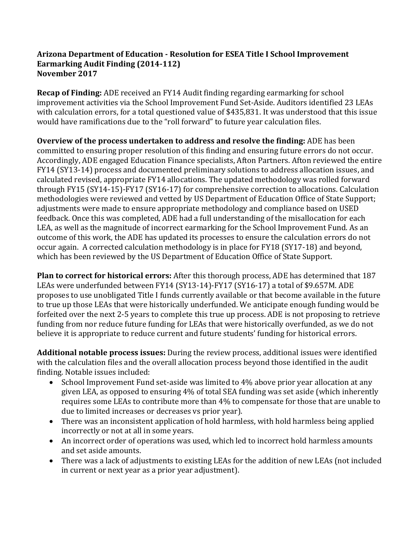## **Arizona Department of Education - Resolution for ESEA Title I School Improvement Earmarking Audit Finding (2014-112) November 2017**

**Recap of Finding:** ADE received an FY14 Audit finding regarding earmarking for school improvement activities via the School Improvement Fund Set-Aside. Auditors identified 23 LEAs with calculation errors, for a total questioned value of \$435,831. It was understood that this issue would have ramifications due to the "roll forward" to future year calculation files.

**Overview of the process undertaken to address and resolve the finding:** ADE has been committed to ensuring proper resolution of this finding and ensuring future errors do not occur. Accordingly, ADE engaged Education Finance specialists, Afton Partners. Afton reviewed the entire FY14 (SY13-14) process and documented preliminary solutions to address allocation issues, and calculated revised, appropriate FY14 allocations. The updated methodology was rolled forward through FY15 (SY14-15)-FY17 (SY16-17) for comprehensive correction to allocations. Calculation methodologies were reviewed and vetted by US Department of Education Office of State Support; adjustments were made to ensure appropriate methodology and compliance based on USED feedback. Once this was completed, ADE had a full understanding of the misallocation for each LEA, as well as the magnitude of incorrect earmarking for the School Improvement Fund. As an outcome of this work, the ADE has updated its processes to ensure the calculation errors do not occur again. A corrected calculation methodology is in place for FY18 (SY17-18) and beyond, which has been reviewed by the US Department of Education Office of State Support.

**Plan to correct for historical errors:** After this thorough process, ADE has determined that 187 LEAs were underfunded between FY14 (SY13-14)-FY17 (SY16-17) a total of \$9.657M. ADE proposes to use unobligated Title I funds currently available or that become available in the future to true up those LEAs that were historically underfunded. We anticipate enough funding would be forfeited over the next 2-5 years to complete this true up process. ADE is not proposing to retrieve funding from nor reduce future funding for LEAs that were historically overfunded, as we do not believe it is appropriate to reduce current and future students' funding for historical errors.

**Additional notable process issues:** During the review process, additional issues were identified with the calculation files and the overall allocation process beyond those identified in the audit finding. Notable issues included:

- School Improvement Fund set-aside was limited to 4% above prior year allocation at any given LEA, as opposed to ensuring 4% of total SEA funding was set aside (which inherently requires some LEAs to contribute more than 4% to compensate for those that are unable to due to limited increases or decreases vs prior year).
- There was an inconsistent application of hold harmless, with hold harmless being applied incorrectly or not at all in some years.
- An incorrect order of operations was used, which led to incorrect hold harmless amounts and set aside amounts.
- There was a lack of adjustments to existing LEAs for the addition of new LEAs (not included in current or next year as a prior year adjustment).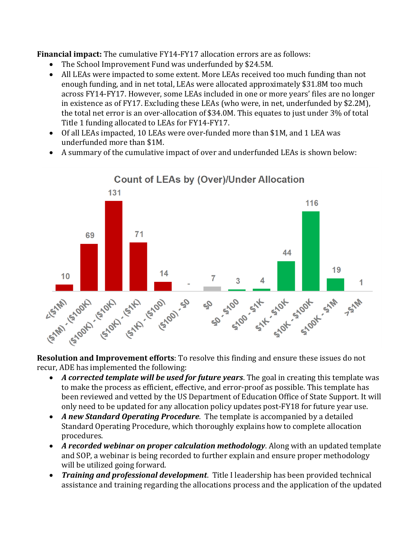**Financial impact:** The cumulative FY14-FY17 allocation errors are as follows:

- The School Improvement Fund was underfunded by \$24.5M.
- All LEAs were impacted to some extent. More LEAs received too much funding than not enough funding, and in net total, LEAs were allocated approximately \$31.8M too much across FY14-FY17. However, some LEAs included in one or more years' files are no longer in existence as of FY17. Excluding these LEAs (who were, in net, underfunded by \$2.2M), the total net error is an over-allocation of \$34.0M. This equates to just under 3% of total Title 1 funding allocated to LEAs for FY14-FY17.
- Of all LEAs impacted, 10 LEAs were over-funded more than \$1M, and 1 LEA was underfunded more than \$1M.
- A summary of the cumulative impact of over and underfunded LEAs is shown below:



**Resolution and Improvement efforts**: To resolve this finding and ensure these issues do not recur, ADE has implemented the following:

- *A corrected template will be used for future years*. The goal in creating this template was to make the process as efficient, effective, and error-proof as possible. This template has been reviewed and vetted by the US Department of Education Office of State Support. It will only need to be updated for any allocation policy updates post-FY18 for future year use.
- *A new Standard Operating Procedure*. The template is accompanied by a detailed Standard Operating Procedure, which thoroughly explains how to complete allocation procedures.
- *A recorded webinar on proper calculation methodology*. Along with an updated template and SOP, a webinar is being recorded to further explain and ensure proper methodology will be utilized going forward.
- *Training and professional development*. Title I leadership has been provided technical assistance and training regarding the allocations process and the application of the updated